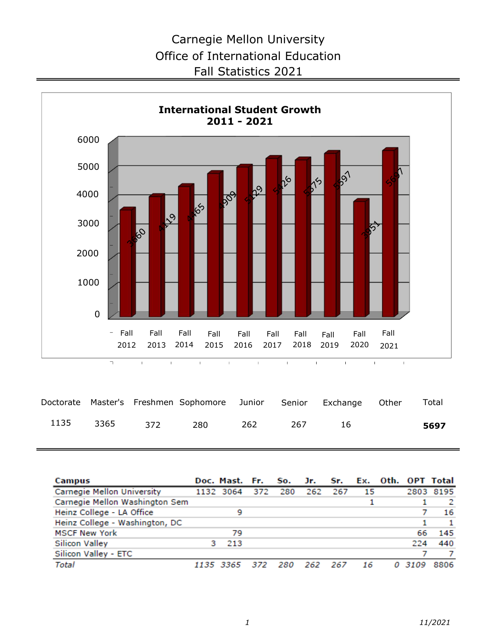

|  |               | Doctorate Master's Freshmen Sophomore Junior Senior Exchange Other |     |      |      | Total |
|--|---------------|--------------------------------------------------------------------|-----|------|------|-------|
|  | 1135 3365 372 | 280                                                                | 262 | -267 | - 16 | 5697  |

| Campus                            | Doc. Mast. Fr. |     | So. |     | Jr. Sr. | Ex. |       | Oth. OPT Total |
|-----------------------------------|----------------|-----|-----|-----|---------|-----|-------|----------------|
| <b>Carnegie Mellon University</b> | 1132 3064      | 372 | 280 | 262 | 267     | 15  | 2803  | 8195           |
| Carnegie Mellon Washington Sem    |                |     |     |     |         |     |       |                |
| Heinz College - LA Office         | 9              |     |     |     |         |     |       | 16             |
| Heinz College - Washington, DC    |                |     |     |     |         |     |       |                |
| <b>MSCF New York</b>              | 79             |     |     |     |         |     | 66    | 145            |
| <b>Silicon Valley</b>             | 213            |     |     |     |         |     | 224   | 440            |
| Silicon Valley - ETC              |                |     |     |     |         |     |       |                |
| Total                             | 1135 3365      | 372 | 280 | 262 | 267     | 16  | 03109 | 8806           |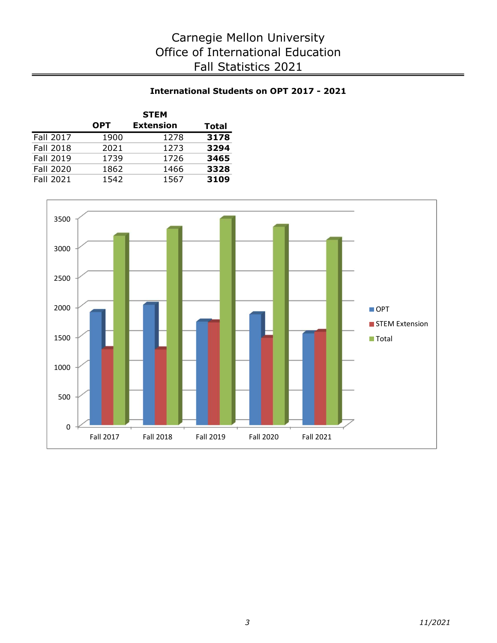# International Students on OPT 2017 - 2021

|           |            | <b>STEM</b>      |       |
|-----------|------------|------------------|-------|
|           | <b>OPT</b> | <b>Extension</b> | Total |
| Fall 2017 | 1900       | 1278             | 3178  |
| Fall 2018 | 2021       | 1273             | 3294  |
| Fall 2019 | 1739       | 1726             | 3465  |
| Fall 2020 | 1862       | 1466             | 3328  |
| Fall 2021 | 1542       | 1567             | 3109  |

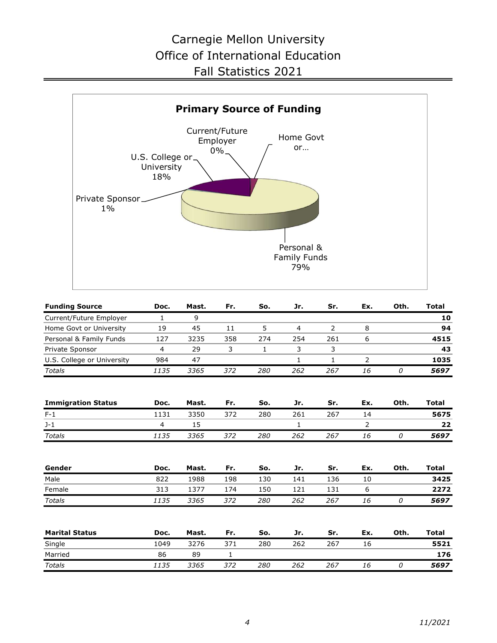

| <b>Funding Source</b>      | Doc. | Mast. | Fr. | So. | Jr. | Sr. | Ex. | Oth. | Total |
|----------------------------|------|-------|-----|-----|-----|-----|-----|------|-------|
| Current/Future Employer    |      | 9     |     |     |     |     |     |      | 10    |
| Home Govt or University    | 19   | 45    | 11  |     | 4   |     | 8   |      | 94    |
| Personal & Family Funds    | 127  | 3235  | 358 | 274 | 254 | 261 | ь   |      | 4515  |
| Private Sponsor            |      | 29    | 3   |     | ∍   |     |     |      | 43    |
| U.S. College or University | 984  | 47    |     |     |     |     |     |      | 1035  |
| <b>Totals</b>              | 1135 | 3365  | 372 | 280 | 262 | 267 | 16  | 0    | 5697  |

| <b>Immigration Status</b> | Doc. | Mast. | Fr. | So. | Jr. | Sr. | Ex. | Oth. | Total |
|---------------------------|------|-------|-----|-----|-----|-----|-----|------|-------|
| F-1                       | .131 | 3350  | 372 | 280 | 261 | 267 |     |      | 5675  |
| J-1                       |      |       |     |     |     |     |     |      |       |
| Totals                    | 1135 | 3365  | 372 | 280 | 262 | 267 | 16  |      | 5697  |

| Gender | Doc. | Mast. | Fr. | So. | Jr. | Sr. | Ex. | Oth. | Total |
|--------|------|-------|-----|-----|-----|-----|-----|------|-------|
| Male   | 822  | 1988  | 198 | 130 | 141 | 136 | 10  |      | 3425  |
| Female | 313  | 1377  | 174 | 150 |     | 131 |     |      | 2272  |
| Totals | 1135 | 3365  | 372 | 280 | 262 | 267 | 16  |      | 5697  |

| <b>Marital Status</b> | Doc. | Mast. | Fr. | So. | Jr. | Sr. | Ex. | Oth. | Total |
|-----------------------|------|-------|-----|-----|-----|-----|-----|------|-------|
| Single                | 1049 | 3276  | 371 | 280 | 262 | 267 | Ιb  |      | 5521  |
| Married               | 86   | 89    |     |     |     |     |     |      | 176   |
| Totals                | 1135 | 3365  | 372 | 280 | 262 | 267 | 16  |      | 5697  |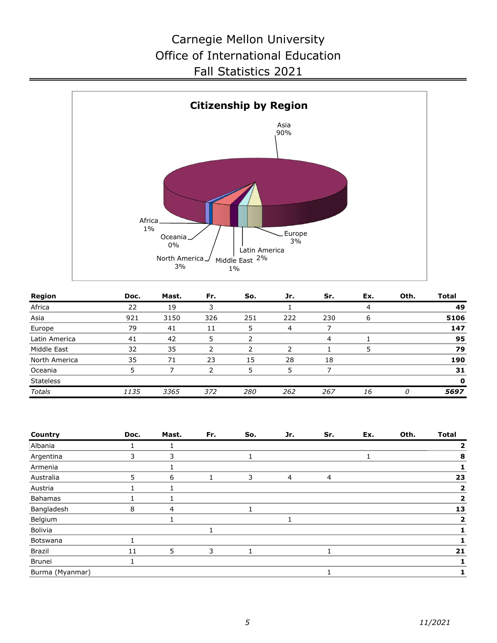

| Region           | Doc. | Mast. | Fr. | So. | Jr.            | Sr. | Ex. | Oth. | <b>Total</b> |
|------------------|------|-------|-----|-----|----------------|-----|-----|------|--------------|
| Africa           | 22   | 19    |     |     |                |     | 4   |      | 49           |
| Asia             | 921  | 3150  | 326 | 251 | 222            | 230 | 6   |      | 5106         |
| Europe           | 79   | 41    | 11  |     | $\overline{4}$ |     |     |      | 147          |
| Latin America    | 41   | 42    | 5   |     |                | 4   |     |      | 95           |
| Middle East      | 32   | 35    | 2   |     |                |     | 5   |      | 79           |
| North America    | 35   | 71    | 23  | 15  | 28             | 18  |     |      | 190          |
| Oceania          |      |       |     | 5   | 5              |     |     |      | 31           |
| <b>Stateless</b> |      |       |     |     |                |     |     |      | $\mathbf 0$  |
| Totals           | 1135 | 3365  | 372 | 280 | 262            | 267 | 16  | n    | 5697         |

| Country         | Doc. | Mast.          | Fr. | So. | Jr. | Sr. | Ex. | Oth. | <b>Total</b> |
|-----------------|------|----------------|-----|-----|-----|-----|-----|------|--------------|
| Albania         |      |                |     |     |     |     |     |      | 2            |
| Argentina       | 3    | 3              |     |     |     |     |     |      | 8            |
| Armenia         |      |                |     |     |     |     |     |      |              |
| Australia       | 5    | 6              |     | 3   | 4   | 4   |     |      | 23           |
| Austria         |      |                |     |     |     |     |     |      | 2            |
| Bahamas         |      | ┻              |     |     |     |     |     |      | 2            |
| Bangladesh      | 8    | $\overline{4}$ |     | 1   |     |     |     |      | 13           |
| Belgium         |      | ┻              |     |     |     |     |     |      | 2            |
| Bolivia         |      |                |     |     |     |     |     |      |              |
| Botswana        |      |                |     |     |     |     |     |      |              |
| Brazil          | 11   | 5              | 3   |     |     |     |     |      | 21           |
| Brunei          |      |                |     |     |     |     |     |      |              |
| Burma (Myanmar) |      |                |     |     |     |     |     |      |              |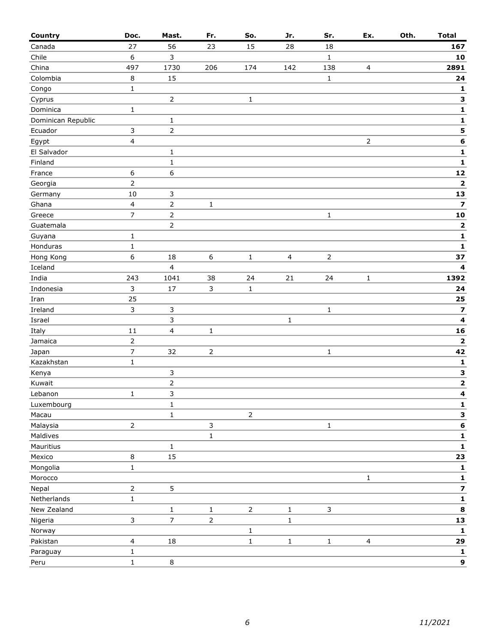| Country            | Doc.           | Mast.                   | Fr.              | So.            | Jr.            | Sr.            | Ex.            | Oth. | <b>Total</b>            |
|--------------------|----------------|-------------------------|------------------|----------------|----------------|----------------|----------------|------|-------------------------|
| Canada             | 27             | 56                      | 23               | 15             | 28             | 18             |                |      | 167                     |
| Chile              | 6              | 3                       |                  |                |                | $\mathbf{1}$   |                |      | 10                      |
| China              | 497            | 1730                    | 206              | 174            | 142            | 138            | 4              |      | 2891                    |
| Colombia           | 8              | 15                      |                  |                |                | $\mathbf{1}$   |                |      | 24                      |
| Congo              | $\mathbf 1$    |                         |                  |                |                |                |                |      | 1                       |
| Cyprus             |                | $\overline{2}$          |                  | $\mathbf 1$    |                |                |                |      | 3                       |
| Dominica           | $\mathbf{1}$   |                         |                  |                |                |                |                |      | $\mathbf{1}$            |
| Dominican Republic |                | $\mathbf{1}$            |                  |                |                |                |                |      | $\mathbf 1$             |
| Ecuador            | 3              | $\overline{2}$          |                  |                |                |                |                |      | 5                       |
| Egypt              | 4              |                         |                  |                |                |                | $\overline{2}$ |      | $\bf 6$                 |
| El Salvador        |                | $\mathbf{1}$            |                  |                |                |                |                |      | $\mathbf 1$             |
| Finland            |                | $\mathbf{1}$            |                  |                |                |                |                |      | $\mathbf 1$             |
| France             | 6              | $\,6\,$                 |                  |                |                |                |                |      | ${\bf 12}$              |
| Georgia            | $\overline{2}$ |                         |                  |                |                |                |                |      | $\mathbf{2}$            |
| Germany            | 10             | 3                       |                  |                |                |                |                |      | 13                      |
| Ghana              | 4              | $\overline{2}$          | $\mathbf 1$      |                |                |                |                |      | 7                       |
| Greece             | $\overline{7}$ | $\mathsf{2}$            |                  |                |                | $\mathbf 1$    |                |      | 10                      |
| Guatemala          |                | $\overline{2}$          |                  |                |                |                |                |      | $\mathbf 2$             |
| Guyana             | 1              |                         |                  |                |                |                |                |      | $\mathbf{1}$            |
| Honduras           | 1              |                         |                  |                |                |                |                |      | 1                       |
| Hong Kong          | 6              | 18                      | $\boldsymbol{6}$ | $\mathbf 1$    | $\overline{4}$ | $\overline{2}$ |                |      | 37                      |
| Iceland            |                | $\overline{\mathbf{4}}$ |                  |                |                |                |                |      | 4                       |
| India              | 243            | 1041                    | 38               | 24             | 21             | 24             | $\mathbf{1}$   |      | 1392                    |
| Indonesia          | $\mathsf{3}$   | 17                      | 3                | $\mathbf{1}$   |                |                |                |      | 24                      |
|                    | 25             |                         |                  |                |                |                |                |      | 25                      |
| Iran<br>Ireland    | $\overline{3}$ | 3                       |                  |                |                |                |                |      | $\overline{\mathbf{z}}$ |
|                    |                | 3                       |                  |                |                | $\mathbf 1$    |                |      | $\overline{\mathbf{4}}$ |
| Israel             | 11             |                         |                  |                | $\mathbf 1$    |                |                |      |                         |
| Italy              |                | $\overline{4}$          | $\mathbf 1$      |                |                |                |                |      | 16                      |
| Jamaica            | $\overline{2}$ |                         |                  |                |                |                |                |      | $\mathbf{2}$            |
| Japan              | $\overline{7}$ | 32                      | $\overline{2}$   |                |                | $\mathbf{1}$   |                |      | 42                      |
| Kazakhstan         | $\mathbf 1$    |                         |                  |                |                |                |                |      | $\mathbf 1$             |
| Kenya              |                | 3                       |                  |                |                |                |                |      | $\overline{\mathbf{3}}$ |
| Kuwait             |                | $\mathsf{2}$            |                  |                |                |                |                |      | $\mathbf{2}$            |
| Lebanon            | $\mathbf{1}$   | 3                       |                  |                |                |                |                |      | $\mathbf{A}$            |
| Luxembourg         |                | $\mathbf{1}$            |                  |                |                |                |                |      | 1                       |
| Macau              |                | $\mathbf 1$             |                  | $\overline{2}$ |                |                |                |      | 3                       |
| Malaysia           | $\overline{2}$ |                         | 3                |                |                | $\mathbf 1$    |                |      | $\bf 6$                 |
| Maldives           |                |                         | $\mathbf{1}$     |                |                |                |                |      | $\mathbf{1}$            |
| Mauritius          |                | $\mathbf 1$             |                  |                |                |                |                |      | $\mathbf 1$             |
| Mexico             | $\,8\,$        | 15                      |                  |                |                |                |                |      | 23                      |
| Mongolia           | $\mathbf 1$    |                         |                  |                |                |                |                |      | $\mathbf{1}$            |
| Morocco            |                |                         |                  |                |                |                | $\mathbf 1$    |      | $\mathbf 1$             |
| Nepal              | $\overline{2}$ | 5                       |                  |                |                |                |                |      | $\overline{\mathbf{z}}$ |
| Netherlands        | $\mathbf{1}$   |                         |                  |                |                |                |                |      | $\mathbf 1$             |
| New Zealand        |                | $\mathbf 1$             | $\mathbf 1$      | $\overline{2}$ | $\mathbf 1$    | 3              |                |      | 8                       |
| Nigeria            | 3              | $\overline{7}$          | $\overline{2}$   |                | $\mathbf{1}$   |                |                |      | 13                      |
| Norway             |                |                         |                  | $\mathbf{1}$   |                |                |                |      | 1                       |
| Pakistan           | $\overline{4}$ | $18\,$                  |                  | $\mathbf 1$    | $\mathbf 1$    | $\mathbf 1$    | $\overline{4}$ |      | 29                      |
| Paraguay           | $\mathbf 1$    |                         |                  |                |                |                |                |      | $\mathbf 1$             |
| Peru               | $\mathbf 1$    | $\,8\,$                 |                  |                |                |                |                |      | 9                       |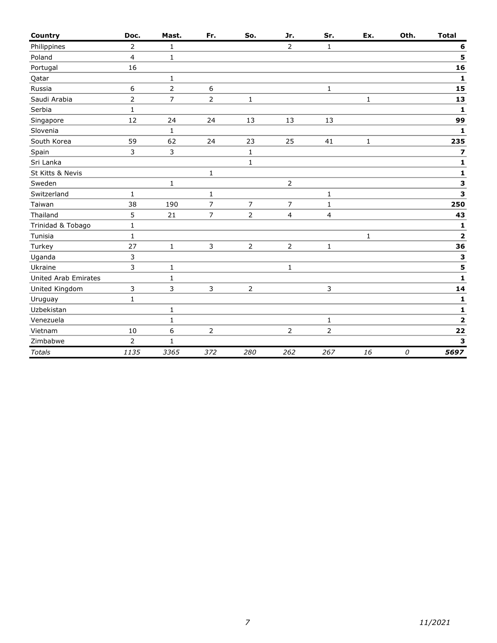| Country                     | Doc.           | Mast.          | Fr.            | So.            | Jr.            | Sr.            | Ex.          | Oth. | <b>Total</b>            |
|-----------------------------|----------------|----------------|----------------|----------------|----------------|----------------|--------------|------|-------------------------|
| Philippines                 | $\overline{2}$ | $\mathbf{1}$   |                |                | $\overline{2}$ | $\mathbf{1}$   |              |      | 6                       |
| Poland                      | $\overline{4}$ | $\mathbf{1}$   |                |                |                |                |              |      | 5                       |
| Portugal                    | 16             |                |                |                |                |                |              |      | 16                      |
| Qatar                       |                | $\mathbf 1$    |                |                |                |                |              |      | 1                       |
| Russia                      | 6              | $\overline{2}$ | 6              |                |                | $\mathbf{1}$   |              |      | 15                      |
| Saudi Arabia                | $\overline{2}$ | 7              | $\overline{2}$ | $\mathbf{1}$   |                |                | $\mathbf{1}$ |      | 13                      |
| Serbia                      | $\mathbf{1}$   |                |                |                |                |                |              |      | $\mathbf{1}$            |
| Singapore                   | 12             | 24             | 24             | 13             | 13             | 13             |              |      | 99                      |
| Slovenia                    |                | 1              |                |                |                |                |              |      | 1                       |
| South Korea                 | 59             | 62             | 24             | 23             | 25             | 41             | $\mathbf{1}$ |      | 235                     |
| Spain                       | 3              | 3              |                | $\mathbf{1}$   |                |                |              |      | 7                       |
| Sri Lanka                   |                |                |                | $\mathbf{1}$   |                |                |              |      | 1                       |
| St Kitts & Nevis            |                |                | 1              |                |                |                |              |      | $\mathbf 1$             |
| Sweden                      |                | 1              |                |                | $\mathbf{2}$   |                |              |      | 3                       |
| Switzerland                 | $\mathbf{1}$   |                | $\mathbf{1}$   |                |                | $\mathbf{1}$   |              |      | 3                       |
| Taiwan                      | 38             | 190            | $\overline{7}$ | $\overline{7}$ | 7              | $\mathbf{1}$   |              |      | 250                     |
| Thailand                    | 5              | 21             | $\overline{7}$ | $\overline{2}$ | 4              | $\overline{4}$ |              |      | 43                      |
| Trinidad & Tobago           | $\mathbf{1}$   |                |                |                |                |                |              |      | 1                       |
| Tunisia                     | $\mathbf{1}$   |                |                |                |                |                | $\mathbf{1}$ |      | $\overline{\mathbf{2}}$ |
| Turkey                      | 27             | $\mathbf{1}$   | 3              | $\overline{2}$ | $\overline{2}$ | $\mathbf{1}$   |              |      | 36                      |
| Uganda                      | 3              |                |                |                |                |                |              |      | 3                       |
| Ukraine                     | 3              | 1              |                |                | $\mathbf{1}$   |                |              |      | 5                       |
| <b>United Arab Emirates</b> |                | $\mathbf{1}$   |                |                |                |                |              |      | $\mathbf{1}$            |
| United Kingdom              | 3              | 3              | 3              | $\overline{2}$ |                | 3              |              |      | 14                      |
| Uruguay                     | $\mathbf{1}$   |                |                |                |                |                |              |      | 1                       |
| Uzbekistan                  |                | 1              |                |                |                |                |              |      | 1                       |
| Venezuela                   |                | $\mathbf 1$    |                |                |                | 1              |              |      | $\overline{\mathbf{2}}$ |
| Vietnam                     | 10             | 6              | $\overline{2}$ |                | $\overline{2}$ | $\overline{2}$ |              |      | 22                      |
| Zimbabwe                    | 2              | 1              |                |                |                |                |              |      | 3                       |
| <b>Totals</b>               | 1135           | 3365           | 372            | 280            | 262            | 267            | 16           | 0    | 5697                    |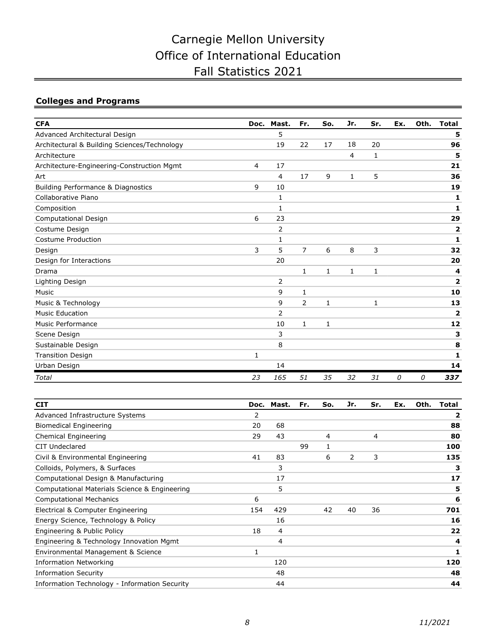# Colleges and Programs

| <b>CFA</b>                                   | Doc.           | Mast.        | Fr.            | So.          | Jr.            | Sr.          | Ex. | Oth. | <b>Total</b>            |
|----------------------------------------------|----------------|--------------|----------------|--------------|----------------|--------------|-----|------|-------------------------|
| Advanced Architectural Design                |                | 5            |                |              |                |              |     |      | 5                       |
| Architectural & Building Sciences/Technology |                | 19           | 22             | 17           | 18             | 20           |     |      | 96                      |
| Architecture                                 |                |              |                |              | $\overline{4}$ | 1            |     |      | 5                       |
| Architecture-Engineering-Construction Mgmt   | $\overline{4}$ | 17           |                |              |                |              |     |      | 21                      |
| Art                                          |                | 4            | 17             | 9            | $\mathbf{1}$   | 5            |     |      | 36                      |
| Building Performance & Diagnostics           | 9              | 10           |                |              |                |              |     |      | 19                      |
| Collaborative Piano                          |                | 1            |                |              |                |              |     |      | 1                       |
| Composition                                  |                | 1            |                |              |                |              |     |      | 1                       |
| Computational Design                         | 6              | 23           |                |              |                |              |     |      | 29                      |
| Costume Design                               |                | 2            |                |              |                |              |     |      | $\overline{\mathbf{2}}$ |
| Costume Production                           |                | $\mathbf{1}$ |                |              |                |              |     |      | 1                       |
| Design                                       | 3              | 5            | $\overline{7}$ | 6            | 8              | 3            |     |      | 32                      |
| Design for Interactions                      |                | 20           |                |              |                |              |     |      | 20                      |
| Drama                                        |                |              | $\mathbf{1}$   | $\mathbf{1}$ | 1              | 1            |     |      | 4                       |
| Lighting Design                              |                | 2            |                |              |                |              |     |      | $\overline{2}$          |
| Music                                        |                | 9            | $\mathbf{1}$   |              |                |              |     |      | 10                      |
| Music & Technology                           |                | 9            | 2              | $\mathbf{1}$ |                | $\mathbf{1}$ |     |      | 13                      |
| <b>Music Education</b>                       |                | 2            |                |              |                |              |     |      | $\overline{\mathbf{2}}$ |
| <b>Music Performance</b>                     |                | 10           | $\mathbf{1}$   | 1            |                |              |     |      | 12                      |
| Scene Design                                 |                | 3            |                |              |                |              |     |      | 3                       |
| Sustainable Design                           |                | 8            |                |              |                |              |     |      | 8                       |
| <b>Transition Design</b>                     | 1              |              |                |              |                |              |     |      | 1                       |
| Urban Design                                 |                | 14           |                |              |                |              |     |      | 14                      |
| Total                                        | 23             | 165          | 51             | 35           | 32             | 31           | 0   | 0    | 337                     |

| <b>CIT</b>                                    |     | Doc. Mast. | Fr. | So. | Jr. | Sr. | Ex. | Oth. | <b>Total</b> |
|-----------------------------------------------|-----|------------|-----|-----|-----|-----|-----|------|--------------|
| Advanced Infrastructure Systems               | 2   |            |     |     |     |     |     |      | $\mathbf{z}$ |
| <b>Biomedical Engineering</b>                 | 20  | 68         |     |     |     |     |     |      | 88           |
| Chemical Engineering                          | 29  | 43         |     | 4   |     | 4   |     |      | 80           |
| CIT Undeclared                                |     |            | 99  |     |     |     |     |      | 100          |
| Civil & Environmental Engineering             | 41  | 83         |     | 6   | 2   | 3   |     |      | 135          |
| Colloids, Polymers, & Surfaces                |     | 3          |     |     |     |     |     |      | з            |
| Computational Design & Manufacturing          |     | 17         |     |     |     |     |     |      | 17           |
| Computational Materials Science & Engineering |     | 5          |     |     |     |     |     |      | 5            |
| <b>Computational Mechanics</b>                | 6   |            |     |     |     |     |     |      | 6            |
| Electrical & Computer Engineering             | 154 | 429        |     | 42  | 40  | 36  |     |      | 701          |
| Energy Science, Technology & Policy           |     | 16         |     |     |     |     |     |      | 16           |
| Engineering & Public Policy                   | 18  | 4          |     |     |     |     |     |      | 22           |
| Engineering & Technology Innovation Mgmt      |     | 4          |     |     |     |     |     |      | 4            |
| Environmental Management & Science            | 1   |            |     |     |     |     |     |      | 1            |
| <b>Information Networking</b>                 |     | 120        |     |     |     |     |     |      | 120          |
| <b>Information Security</b>                   |     | 48         |     |     |     |     |     |      | 48           |
| Information Technology - Information Security |     | 44         |     |     |     |     |     |      | 44           |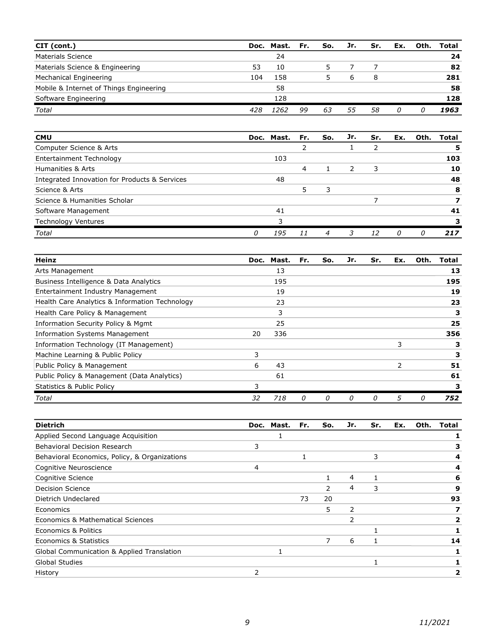| CIT (cont.)                             |     | Doc. Mast. | Fr. | So. | Jr. | Sr. | Ex. | Oth. | Total |
|-----------------------------------------|-----|------------|-----|-----|-----|-----|-----|------|-------|
| Materials Science                       |     | 24         |     |     |     |     |     |      | 24    |
| Materials Science & Engineering         | 53  | 10         |     |     |     |     |     |      | 82    |
| Mechanical Engineering                  | 104 | 158        |     |     | b   | 8   |     |      | 281   |
| Mobile & Internet of Things Engineering |     | 58         |     |     |     |     |     |      | 58    |
| Software Engineering                    |     | 128        |     |     |     |     |     |      | 128   |
| Total                                   | 428 | 1262       | 99  | 63  | 55  | 58  | 0   |      | 1963  |

| <b>CMU</b>                                    |   | Doc. Mast. | Fr. | So. | Jr. | Sr. | Ex. | Oth. | Total |
|-----------------------------------------------|---|------------|-----|-----|-----|-----|-----|------|-------|
| Computer Science & Arts                       |   |            |     |     |     |     |     |      |       |
| Entertainment Technology                      |   | 103        |     |     |     |     |     |      | 103   |
| Humanities & Arts                             |   |            | 4   |     |     | 3   |     |      | 10    |
| Integrated Innovation for Products & Services |   | 48         |     |     |     |     |     |      | 48    |
| Science & Arts                                |   |            |     | 3   |     |     |     |      | 8     |
| Science & Humanities Scholar                  |   |            |     |     |     |     |     |      |       |
| Software Management                           |   | 41         |     |     |     |     |     |      | 41    |
| <b>Technology Ventures</b>                    |   |            |     |     |     |     |     |      |       |
| <b>Total</b>                                  | O | 195        |     |     |     | 12  | 0   | n    | 217   |

| Heinz                                          | Doc. | Mast. | Fr. | So. | Jr. | Sr. | Ex. | Oth. | Total |
|------------------------------------------------|------|-------|-----|-----|-----|-----|-----|------|-------|
| Arts Management                                |      | 13    |     |     |     |     |     |      | 13    |
| Business Intelligence & Data Analytics         |      | 195   |     |     |     |     |     |      | 195   |
| Entertainment Industry Management              |      | 19    |     |     |     |     |     |      | 19    |
| Health Care Analytics & Information Technology |      | 23    |     |     |     |     |     |      | 23    |
| Health Care Policy & Management                |      | 3     |     |     |     |     |     |      | 3     |
| Information Security Policy & Mgmt             |      | 25    |     |     |     |     |     |      | 25    |
| <b>Information Systems Management</b>          | 20   | 336   |     |     |     |     |     |      | 356   |
| Information Technology (IT Management)         |      |       |     |     |     |     | 3   |      | з     |
| Machine Learning & Public Policy               | 3    |       |     |     |     |     |     |      | з     |
| Public Policy & Management                     | 6    | 43    |     |     |     |     | 2   |      | 51    |
| Public Policy & Management (Data Analytics)    |      | 61    |     |     |     |     |     |      | 61    |
| <b>Statistics &amp; Public Policy</b>          | 3    |       |     |     |     |     |     |      |       |
| Total                                          | 32   | 718   | Ω   | Ω   | O   | 0   | 5   | 0    | 752   |

| <b>Dietrich</b>                               |                | Doc. Mast. | Fr. | So. | Jr. | Sr. | Ex. | Oth. | <b>Total</b> |
|-----------------------------------------------|----------------|------------|-----|-----|-----|-----|-----|------|--------------|
| Applied Second Language Acquisition           |                |            |     |     |     |     |     |      |              |
| Behavioral Decision Research                  | 3              |            |     |     |     |     |     |      | з            |
| Behavioral Economics, Policy, & Organizations |                |            |     |     |     | 3   |     |      |              |
| Cognitive Neuroscience                        | $\overline{4}$ |            |     |     |     |     |     |      | 4            |
| Cognitive Science                             |                |            |     |     | 4   |     |     |      | 6            |
| <b>Decision Science</b>                       |                |            |     | 2   | 4   | 3   |     |      | 9            |
| Dietrich Undeclared                           |                |            | 73  | 20  |     |     |     |      | 93           |
| Economics                                     |                |            |     | 5   | 2   |     |     |      |              |
| Economics & Mathematical Sciences             |                |            |     |     | 2   |     |     |      |              |
| Economics & Politics                          |                |            |     |     |     |     |     |      |              |
| Economics & Statistics                        |                |            |     | 7   | 6   |     |     |      | 14           |
| Global Communication & Applied Translation    |                |            |     |     |     |     |     |      |              |
| Global Studies                                |                |            |     |     |     |     |     |      |              |
| History                                       | 2              |            |     |     |     |     |     |      |              |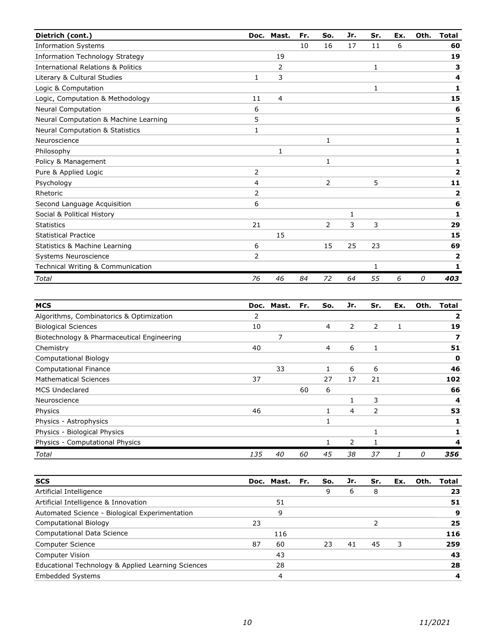| Dietrich (cont.)                              |              | Doc. Mast. | Fr. | So.            | Jr. | Sr. | Ex. | Oth. | <b>Total</b>            |
|-----------------------------------------------|--------------|------------|-----|----------------|-----|-----|-----|------|-------------------------|
| <b>Information Systems</b>                    |              |            | 10  | 16             | 17  | 11  | 6   |      | 60                      |
| Information Technology Strategy               |              | 19         |     |                |     |     |     |      | 19                      |
| <b>International Relations &amp; Politics</b> |              | 2          |     |                |     | 1   |     |      | 3                       |
| Literary & Cultural Studies                   | $\mathbf{1}$ | 3          |     |                |     |     |     |      | 4                       |
| Logic & Computation                           |              |            |     |                |     | 1   |     |      | 1                       |
| Logic, Computation & Methodology              | 11           | 4          |     |                |     |     |     |      | 15                      |
| <b>Neural Computation</b>                     | 6            |            |     |                |     |     |     |      | 6                       |
| Neural Computation & Machine Learning         | 5            |            |     |                |     |     |     |      | 5                       |
| <b>Neural Computation &amp; Statistics</b>    | 1            |            |     |                |     |     |     |      | 1                       |
| Neuroscience                                  |              |            |     | $\mathbf{1}$   |     |     |     |      | 1                       |
| Philosophy                                    |              | 1          |     |                |     |     |     |      | 1                       |
| Policy & Management                           |              |            |     | 1              |     |     |     |      | 1                       |
| Pure & Applied Logic                          | 2            |            |     |                |     |     |     |      | $\overline{\mathbf{2}}$ |
| Psychology                                    | 4            |            |     | $\overline{2}$ |     | 5   |     |      | 11                      |
| Rhetoric                                      | 2            |            |     |                |     |     |     |      | 2                       |
| Second Language Acquisition                   | 6            |            |     |                |     |     |     |      | 6                       |
| Social & Political History                    |              |            |     |                | 1   |     |     |      | 1                       |
| <b>Statistics</b>                             | 21           |            |     | $\overline{2}$ | 3   | 3   |     |      | 29                      |
| <b>Statistical Practice</b>                   |              | 15         |     |                |     |     |     |      | 15                      |
| Statistics & Machine Learning                 | 6            |            |     | 15             | 25  | 23  |     |      | 69                      |
| Systems Neuroscience                          | 2            |            |     |                |     |     |     |      | 2                       |
| Technical Writing & Communication             |              |            |     |                |     | 1   |     |      | 1                       |
| Total                                         | 76           | 46         | 84  | 72             | 64  | 55  | 6   | 0    | 403                     |
|                                               |              |            |     |                |     |     |     |      |                         |
| <b>MCS</b>                                    | Doc.         | Mast.      | Fr. | So.            | Jr. | Sr. | Ex. | Oth. | <b>Total</b>            |
| Algorithms, Combinatorics & Optimization      | 2            |            |     |                |     |     |     |      | 2                       |
| <b>Biological Sciences</b>                    | 10           |            |     | 4              | 2   | 2   | 1   |      | 19                      |
|                                               |              |            |     |                |     |     |     |      |                         |

| Biotechnology & Pharmaceutical Engineering |     |    |    |    |    |    |   |     |
|--------------------------------------------|-----|----|----|----|----|----|---|-----|
| Chemistry                                  | 40  |    |    | 4  | 6  |    |   | 51  |
| <b>Computational Biology</b>               |     |    |    |    |    |    |   | 0   |
| <b>Computational Finance</b>               |     | 33 |    |    | 6  | 6  |   | 46  |
| <b>Mathematical Sciences</b>               | 37  |    |    | 27 | 17 | 21 |   | 102 |
| <b>MCS Undeclared</b>                      |     |    | 60 | 6  |    |    |   | 66  |
| Neuroscience                               |     |    |    |    |    | 3  |   | 4   |
| Physics                                    | 46  |    |    |    | 4  | 2  |   | 53  |
| Physics - Astrophysics                     |     |    |    |    |    |    |   |     |
| Physics - Biological Physics               |     |    |    |    |    |    |   |     |
| Physics - Computational Physics            |     |    |    |    | 2  |    |   |     |
| Total                                      | 135 | 40 | 60 | 45 | 38 | 37 | 0 | 356 |
|                                            |     |    |    |    |    |    |   |     |

| <b>SCS</b>                                         |    | Doc. Mast. Fr. | So. | Jr. | Sr. | Ex. | Oth. | Total |
|----------------------------------------------------|----|----------------|-----|-----|-----|-----|------|-------|
| Artificial Intelligence                            |    |                | 9   | 6   | 8   |     |      | 23    |
| Artificial Intelligence & Innovation               |    | 51             |     |     |     |     |      | 51    |
| Automated Science - Biological Experimentation     |    | 9              |     |     |     |     |      | 9     |
| <b>Computational Biology</b>                       | 23 |                |     |     |     |     |      | 25    |
| Computational Data Science                         |    | 116            |     |     |     |     |      | 116   |
| Computer Science                                   | 87 | 60             | 23  | 41  | 45  | 3   |      | 259   |
| Computer Vision                                    |    | 43             |     |     |     |     |      | 43    |
| Educational Technology & Applied Learning Sciences |    | 28             |     |     |     |     |      | 28    |
| <b>Embedded Systems</b>                            |    | 4              |     |     |     |     |      | 4     |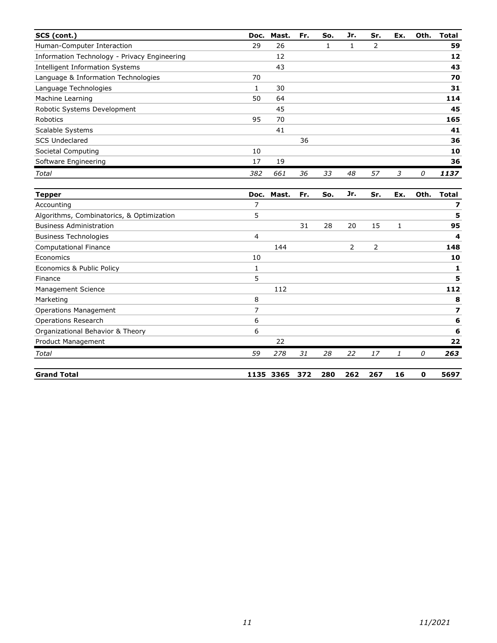| SCS (cont.)                                  | Doc. | Mast. | Fr. | So. | Jr. | Sr. | Ex. | Oth. | <b>Total</b> |
|----------------------------------------------|------|-------|-----|-----|-----|-----|-----|------|--------------|
| Human-Computer Interaction                   | 29   | 26    |     | Ŧ.  |     | 2   |     |      | 59           |
| Information Technology - Privacy Engineering |      | 12    |     |     |     |     |     |      | 12           |
| Intelligent Information Systems              |      | 43    |     |     |     |     |     |      | 43           |
| Language & Information Technologies          | 70   |       |     |     |     |     |     |      | 70           |
| Language Technologies                        | 1    | 30    |     |     |     |     |     |      | 31           |
| Machine Learning                             | 50   | 64    |     |     |     |     |     |      | 114          |
| Robotic Systems Development                  |      | 45    |     |     |     |     |     |      | 45           |
| Robotics                                     | 95   | 70    |     |     |     |     |     |      | 165          |
| Scalable Systems                             |      | 41    |     |     |     |     |     |      | 41           |
| <b>SCS Undeclared</b>                        |      |       | 36  |     |     |     |     |      | 36           |
| Societal Computing                           | 10   |       |     |     |     |     |     |      | 10           |
| Software Engineering                         | 17   | 19    |     |     |     |     |     |      | 36           |
| Total                                        | 382  | 661   | 36  | 33  | 48  | 57  | 3   | 0    | 1137         |

| <b>Tepper</b>                             | Doc. | Mast. | Fr. | So. | Jr.            | Sr. | Ex. | Oth. | <b>Total</b>   |
|-------------------------------------------|------|-------|-----|-----|----------------|-----|-----|------|----------------|
| Accounting                                | 7    |       |     |     |                |     |     |      | $\overline{ }$ |
| Algorithms, Combinatorics, & Optimization | 5    |       |     |     |                |     |     |      | 5              |
| <b>Business Administration</b>            |      |       | 31  | 28  | 20             | 15  | 1   |      | 95             |
| <b>Business Technologies</b>              | 4    |       |     |     |                |     |     |      | 4              |
| <b>Computational Finance</b>              |      | 144   |     |     | $\overline{2}$ | 2   |     |      | 148            |
| Economics                                 | 10   |       |     |     |                |     |     |      | 10             |
| Economics & Public Policy                 |      |       |     |     |                |     |     |      | 1              |
| Finance                                   | 5    |       |     |     |                |     |     |      | 5              |
| Management Science                        |      | 112   |     |     |                |     |     |      | 112            |
| Marketing                                 | 8    |       |     |     |                |     |     |      | 8              |
| <b>Operations Management</b>              | 7    |       |     |     |                |     |     |      | 7              |
| <b>Operations Research</b>                | 6    |       |     |     |                |     |     |      | 6              |
| Organizational Behavior & Theory          | 6    |       |     |     |                |     |     |      | 6              |
| Product Management                        |      | 22    |     |     |                |     |     |      | 22             |
| Total                                     | 59   | 278   | 31  | 28  | 22             | 17  | 1   | 0    | 263            |
| <b>Grand Total</b>                        | 1135 | 3365  | 372 | 280 | 262            | 267 | 16  | 0    | 5697           |